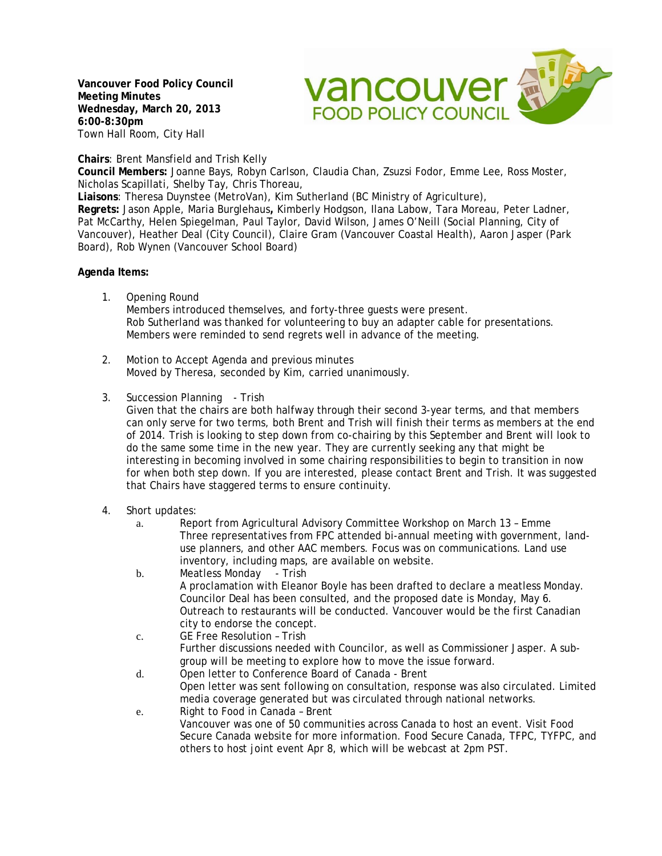**Vancouver Food Policy Council Meeting Minutes Wednesday, March 20, 2013 6:00-8:30pm**  Town Hall Room, City Hall



## **Chairs**: Brent Mansfield and Trish Kelly

**Council Members:** Joanne Bays, Robyn Carlson, Claudia Chan, Zsuzsi Fodor, Emme Lee, Ross Moster, Nicholas Scapillati, Shelby Tay, Chris Thoreau,

**Liaisons**: Theresa Duynstee (MetroVan), Kim Sutherland (BC Ministry of Agriculture),

**Regrets:** Jason Apple, Maria Burglehaus**,** Kimberly Hodgson, Ilana Labow, Tara Moreau, Peter Ladner, Pat McCarthy, Helen Spiegelman, Paul Taylor, David Wilson, James O'Neill (Social Planning, City of Vancouver), Heather Deal (City Council), Claire Gram (Vancouver Coastal Health), Aaron Jasper (Park Board), Rob Wynen (Vancouver School Board)

## **Agenda Items:**

1. Opening Round

Members introduced themselves, and forty-three guests were present. Rob Sutherland was thanked for volunteering to buy an adapter cable for presentations. Members were reminded to send regrets well in advance of the meeting.

- 2. Motion to Accept Agenda and previous minutes Moved by Theresa, seconded by Kim, carried unanimously.
- 3. Succession Planning Trish

Given that the chairs are both halfway through their second 3-year terms, and that members can only serve for two terms, both Brent and Trish will finish their terms as members at the end of 2014. Trish is looking to step down from co-chairing by this September and Brent will look to do the same some time in the new year. They are currently seeking any that might be interesting in becoming involved in some chairing responsibilities to begin to transition in now for when both step down. If you are interested, please contact Brent and Trish. It was suggested that Chairs have staggered terms to ensure continuity.

- 4. Short updates:
	- a. Report from Agricultural Advisory Committee Workshop on March 13 Emme Three representatives from FPC attended bi-annual meeting with government, landuse planners, and other AAC members. Focus was on communications. Land use inventory, including maps, are available on website.
	- b. Meatless Monday Trish A proclamation with Eleanor Boyle has been drafted to declare a meatless Monday. Councilor Deal has been consulted, and the proposed date is Monday, May 6. Outreach to restaurants will be conducted. Vancouver would be the first Canadian city to endorse the concept.
	- c. GE Free Resolution Trish Further discussions needed with Councilor, as well as Commissioner Jasper. A subgroup will be meeting to explore how to move the issue forward.
	- d. Open letter to Conference Board of Canada Brent Open letter was sent following on consultation, response was also circulated. Limited media coverage generated but was circulated through national networks. e. Right to Food in Canada – Brent
	- Vancouver was one of 50 communities across Canada to host an event. Visit Food Secure Canada website for more information. Food Secure Canada, TFPC, TYFPC, and others to host joint event Apr 8, which will be webcast at 2pm PST.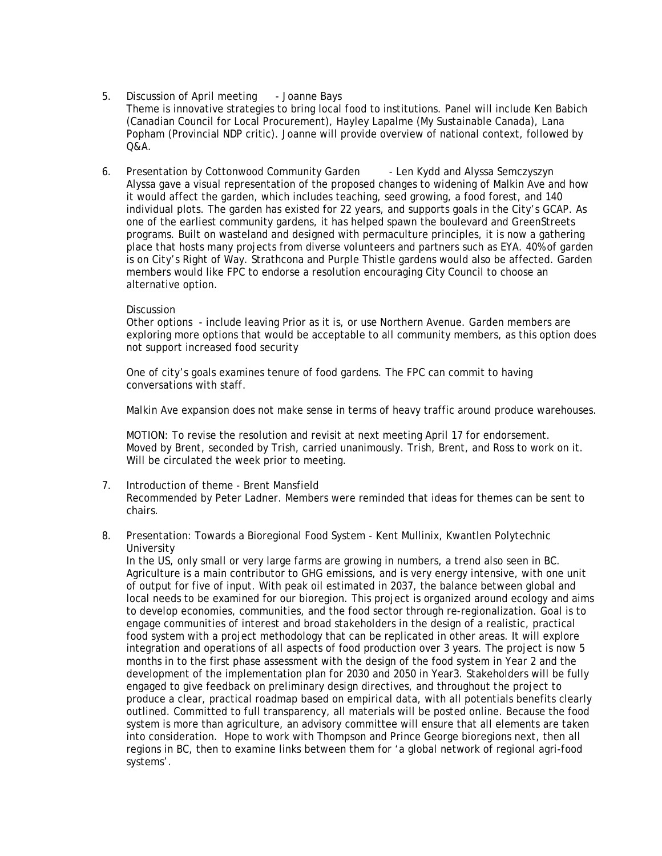#### 5. Discussion of April meeting - Joanne Bays Theme is innovative strategies to bring local food to institutions. Panel will include Ken Babich (Canadian Council for Local Procurement), Hayley Lapalme (My Sustainable Canada), Lana Popham (Provincial NDP critic). Joanne will provide overview of national context, followed by Q&A.

6. Presentation by Cottonwood Community Garden - Len Kydd and Alyssa Semczyszyn Alyssa gave a visual representation of the proposed changes to widening of Malkin Ave and how it would affect the garden, which includes teaching, seed growing, a food forest, and 140 individual plots. The garden has existed for 22 years, and supports goals in the City's GCAP. As one of the earliest community gardens, it has helped spawn the boulevard and GreenStreets programs. Built on wasteland and designed with permaculture principles, it is now a gathering place that hosts many projects from diverse volunteers and partners such as EYA. 40% of garden is on City's Right of Way. Strathcona and Purple Thistle gardens would also be affected. Garden members would like FPC to endorse a resolution encouraging City Council to choose an alternative option.

## Discussion

Other options - include leaving Prior as it is, or use Northern Avenue. Garden members are exploring more options that would be acceptable to all community members, as this option does not support increased food security

One of city's goals examines tenure of food gardens. The FPC can commit to having conversations with staff.

Malkin Ave expansion does not make sense in terms of heavy traffic around produce warehouses.

MOTION: To revise the resolution and revisit at next meeting April 17 for endorsement. Moved by Brent, seconded by Trish, carried unanimously. Trish, Brent, and Ross to work on it. Will be circulated the week prior to meeting.

- 7. Introduction of theme Brent Mansfield Recommended by Peter Ladner. Members were reminded that ideas for themes can be sent to chairs.
- 8. Presentation: Towards a Bioregional Food System Kent Mullinix, Kwantlen Polytechnic University

In the US, only small or very large farms are growing in numbers, a trend also seen in BC. Agriculture is a main contributor to GHG emissions, and is very energy intensive, with one unit of output for five of input. With peak oil estimated in 2037, the balance between global and local needs to be examined for our bioregion. This project is organized around ecology and aims to develop economies, communities, and the food sector through re-regionalization. Goal is to engage communities of interest and broad stakeholders in the design of a realistic, practical food system with a project methodology that can be replicated in other areas. It will explore integration and operations of all aspects of food production over 3 years. The project is now 5 months in to the first phase assessment with the design of the food system in Year 2 and the development of the implementation plan for 2030 and 2050 in Year3. Stakeholders will be fully engaged to give feedback on preliminary design directives, and throughout the project to produce a clear, practical roadmap based on empirical data, with all potentials benefits clearly outlined. Committed to full transparency, all materials will be posted online. Because the food system is more than agriculture, an advisory committee will ensure that all elements are taken into consideration. Hope to work with Thompson and Prince George bioregions next, then all regions in BC, then to examine links between them for 'a global network of regional agri-food systems'.